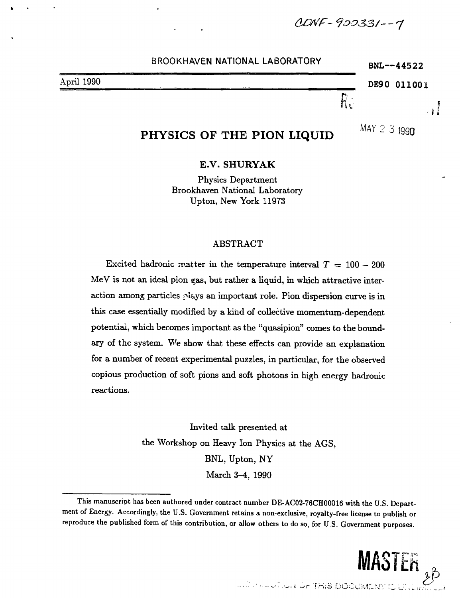*- <?OO33/- - 7*

|            | $BNL - 44522$ |               |  |
|------------|---------------|---------------|--|
| April 1990 |               | DE90 011001   |  |
|            |               |               |  |
|            |               | MAY<br>് 1000 |  |

# PHYSICS OF THE PION LIQUID

 $\sim$  1230

# **E.V. SHURYAK**

Physics Department Brookhaven National Laboratory Upton, New York 11973

# ABSTRACT

Excited hadronic matter in the temperature interval  $T = 100 - 200$ MeV is not an ideal pion gas, but rather a liquid, in which attractive interaction among particles plays an important role. Pion dispersion curve is in this case essentially modified by a kind of collective momentum-dependent potential, which becomes important as the "quasipion" comes to the boundary of the system. We show that these effects can provide an explanation for a number of recent experimental puzzles, in particular, for the observed copious production of soft pions and soft photons in high energy hadronic reactions.

> Invited talk presented at the Workshop on Heavy Ion Physics at the AGS, BNL, Upton, NY March 3-4, 1990

This manuscript has been authored under contract number DE-AC02-76CH00016 with the U.S. Department of Energy. Accordingly, the U.S. Government retains a non-exclusive, royalty-free license to publish or reproduce the published form of this contribution, or allow others to do so, for U.S. Government purposes.

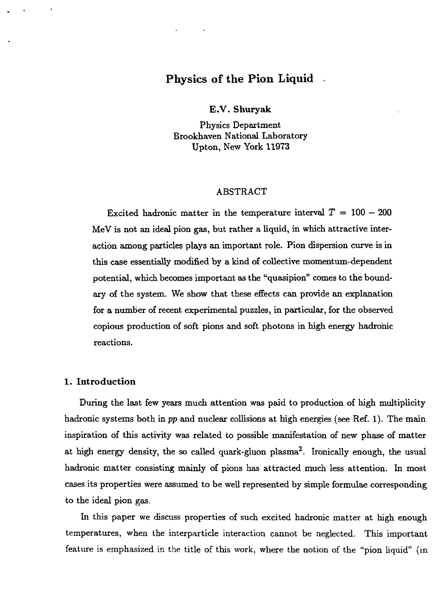# Physics of the Pion Liquid

**E.V. Shuryak**

Physics Department Brookhaven National Laboratory Upton, New York 11973

## ABSTRACT

Excited hadronic matter in the temperature interval  $T = 100 - 200$ MeV is not an ideal pion gas, but rather a liquid, in which attractive interaction among particles plays an important role. Pion dispersion curve is in this case essentially modified by a kind of collective momentum-dependent potential, which becomes important as the "quasipion" comes to the boundary of the system. We show that these effects can provide an explanation for a number of recent experimental puzzles, in particular, for the observed copious production of soft pions and soft photons in high energy hadronic reactions.

## **1. Introduction**

During the last few years much attention was paid to production of high multiplicity hadronic systems both in *pp* and nuclear collisions at high energies (see Ref. 1). The main inspiration of this activity was related to possible manifestation of new phase of matter at high energy density, the so called quark-gluon plasma<sup>2</sup>. Ironically enough, the usual hadronic matter consisting mainly of pions has attracted much less attention. In most cases its properties were assumed to be well represented by simple formulae corresponding to the ideal pion gas.

In this paper we discuss properties of such excited hadronic matter at high enough temperatures, when the interparticle interaction cannot be neglected. This important feature is emphasized in the title of this work, where the notion of the "pion liquid" (in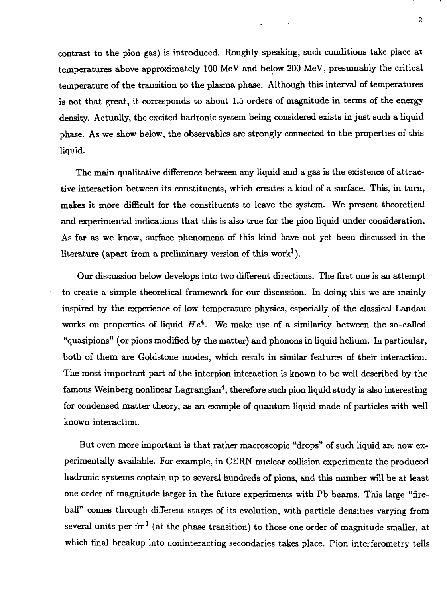contrast to the pion gas) is introduced. Roughly speaking, such conditions take place at temperatures above approximately 100 MeV and below 200 MeV, presumably the critical temperature of the transition to the plasma phase. Although this interval of temperatures is not that great, it corresponds to about 1.5 orders of magnitude in terms of the energy density. Actually, the excited hadronic system being considered exists in just such a liquid phase. As we show below, the observables are strongly connected to the properties of this liquid.

The main qualitative difference between any liquid and a gas is the existence of attractive interaction between its constituents, which creates a kind of a surface. This, in turn, makes it more difficult for the constituents to leave the system. We present theoretical and experimental indications that this is also true for the pion liquid under consideration. As far as we know, surface phenomena of this kind have not yet been discussed in the literature (apart from a preliminary version of this work<sup>3</sup>).

Our discussion below develops into two different directions. The first one is an attempt to create a simple theoretical framework for our discussion. In doing this we are mainly inspired by the experience of low temperature physics, especially of the classical Landau works on properties of liquid  $He<sup>4</sup>$ . We make use of a similarity between the so-called "quasipions" (or pions modified by the matter) and phonons in liquid helium. In particular, both of them are Goldstone modes, which result in similar features of their interaction. The most important part of the interpion interaction is known to be well described by the famous Weinberg nonlinear Lagrangian<sup>4</sup>, therefore such pion liquid study is also interesting for condensed matter theory, as an example of quantum liquid made of particles with well known interaction.

But even more important is that rather macroscopic "drops" of such liquid are now experimentally available. For example, in CERN nuclear collision experiments the produced hadronic systems contain up to several hundreds of pions, and this number will be at least one order of magnitude larger in the future experiments with Pb beams. This large "fireball" comes through different stages of its evolution, with particle densities varying from several units per fm $^3$  (at the phase transition) to those one order of magnitude smaller, at which final breakup into noninteracting secondaries takes place. Pion interferometry tells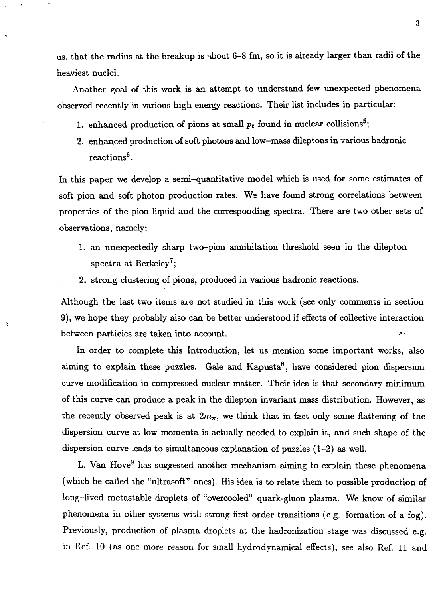us, that the radius at the breakup is nbout 6-8 fm, so it is already larger than radii of the heaviest nuclei.

Another goal of this work is an attempt to understand few unexpected phenomena observed recently in various high energy reactions. Their list includes in particular:

- 1. enhanced production of pions at small  $p_t$  found in nuclear collisions<sup>5</sup>;
- 2. enhanced production of soft photons and low-mass dileptons in various hadronic  $\rm reactions^6.$

In this paper we develop a semi-quantitative model which is used for some estimates of soft pion and soft photon production rates. We have found strong correlations between properties of the pion liquid and the corresponding spectra. There are two other sets of observations, namely;

- 1. an unexpectedly sharp two-pion annihilation threshold seen in the dilepton  ${\rm spectra~at~Berkeley}$   $\rm{?};$
- 2. strong clustering of pions, produced in various hadronic reactions.

š

Although the last two items are not studied in this work (see only comments in section 9), we hope they probably also can be better understood if effects of collective interaction j. between particles are taken into account.

In order to complete this Introduction, let us mention some important works, also  $\text{aiming to explain these puzzles.}$  Gale and Kapusta $^8,$  have considered pion dispersion curve modification in compressed nuclear matter. Their idea is that secondary minimum of this curve can produce a peak in the dilepton invariant mass distribution. However, as the recently observed peak is at  $2m_{\pi}$ , we think that in fact only some flattening of the dispersion curve at low momenta is actually needed to explain it, and such shape of the dispersion curve leads to simultaneous explanation of puzzles (1-2) as well.

L. Van Hove<sup>9</sup> has suggested another mechanism aiming to explain these phenomena (which he called the "ultrasoft" ones). His idea is to relate them to possible production of long-lived metastable droplets of "overcooled" quark-gluon plasma. We know of similar phenomena in other systems with strong first order transitions (e.g. formation of a fog). Previously, production of plasma droplets at the hadronization stage was discussed e.g. in Ref. 10 (as one more reason for small hydrodynamical effects), see also Ref. 11 and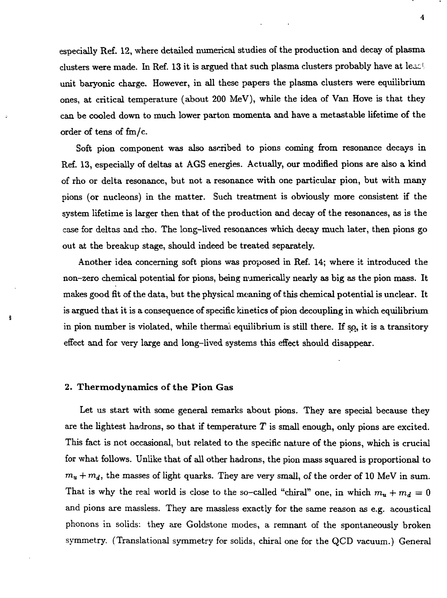especially Ref. 12, where detailed numerical studies of the production and decay of plasma clusters were made. In Ref. 13 it is argued that such plasma clusters probably have at least unit baryonic charge. However, in all these papers the plasma clusters were equilibrium ones, at critical temperature (about 200 MeV), while the idea of Van Hove is that they can be cooled down to much lower parton momenta and have a metastable lifetime of the order of tens of fm/c.

Soft pion component was also ascribed to pions coming from resonance decays in Ref. 13, especially of deltas at AGS energies. Actually, our modified pions are also a kind of rho or delta resonance, but not a resonance with one particular pion, but with many pions (or nucleons) in the matter. Such treatment is obviously more consistent if the system lifetime is larger then that of the production and decay of the resonances, as is the case for deltas and rho. The long-lived resonances which decay much later, then pions go out at the breakup stage, should indeed be treated separately.

Another idea concerning soft pions was proposed in Ref. 14; where it introduced the non-zero chemical potential for pions, being numerically nearly as big as the pion mass. It makes good fit of the data, but the physical meaning of this chemical potential is unclear. It is argued that it is a consequence of specific kinetics of pion decoupling in which equilibrium in pion number is violated, while thermal equilibrium is still there. If so, it is a transitory effect and for very large and long-lived systems this effect should disappear.

#### 2. **Thermodynamics of the Pion** Gas

ŝ

Let us start with some general remarks about pions. They are special because they are the lightest hadrons, so that if temperature  $T$  is small enough, only pions are excited. This fact is not occasional, but related to the specific nature of the pions, which is crucial for what follows. Unlike that of all other hadrons, the pion mass squared is proportional to  $m<sub>u</sub> + m<sub>d</sub>$ , the masses of light quarks. They are very small, of the order of 10 MeV in sum. That is why the real world is close to the so-called "chiral" one, in which  $m_u + m_d = 0$ and pions are massless. They are massless exactly for the same reason as e.g. acoustical phonons in solids: they are Goldstone modes, a remnant of the spontaneously broken symmetry. (Translational symmetry for solids, chiral one for the QCD vacuum.) General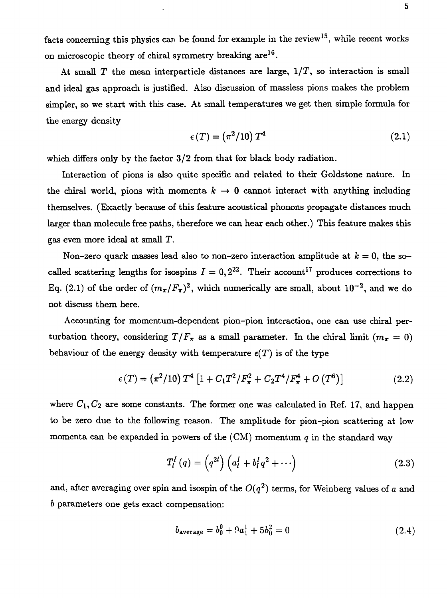facts concerning this physics can be found for example in the review<sup>15</sup>, while recent works on microscopic theory of chiral symmetry breaking  $\mathrm{are^{16}}.$ 

At small  $T$  the mean interparticle distances are large,  $1/T$ , so interaction is small and ideal gas approach is justified. Also discussion of massless pions makes the problem simpler, so we start with this case. At small temperatures we get then simple formula for the energy density

$$
\epsilon(T) = \left(\pi^2/10\right)T^4\tag{2.1}
$$

which differs only by the factor  $3/2$  from that for black body radiation.

Interaction of pions is also quite specific and related to their Goldstone nature. In the chiral world, pions with momenta  $k \to 0$  cannot interact with anything including themselves. (Exactly because of this feature acoustical phonons propagate distances much larger than molecule free paths, therefore we can hear each other.) This feature makes this gas even more ideal at small T.

Non-zero quark masses lead also to non-zero interaction amplitude at  $k = 0$ , the socalled scattering lengths for isospins  $I = 0,2^{22}$ . Their account<sup>17</sup> produces corrections to Eq. (2.1) of the order of  $(m_{\pi}/F_{\pi})^2$ , which numerically are small, about  $10^{-2}$ , and we do not discuss them here.

Accounting for momentum-dependent pion-pion interaction, one can use chiral perturbation theory, considering  $T/F_{\pi}$  as a small parameter. In the chiral limit ( $m_{\pi} = 0$ ) behaviour of the energy density with temperature  $\epsilon(T)$  is of the type

$$
\epsilon(T) = (\pi^2/10) T^4 \left[ 1 + C_1 T^2 / F_\pi^2 + C_2 T^4 / F_\pi^4 + O(T^6) \right]
$$
 (2.2)

where  $C_1, C_2$  are some constants. The former one was calculated in Ref. 17, and happen to be zero due to the following reason. The amplitude for pion-pion scattering at low momenta can be expanded in powers of the (CM) momentum *q* in the standard way

$$
T_l^I(q) = \left(q^{2l}\right) \left(a_l^I + b_l^I q^2 + \cdots\right) \tag{2.3}
$$

and, after averaging over spin and isospin of the  $O(q^2)$  terms, for Weinberg values of  $a$  and *b* parameters one gets exact compensation:

$$
b_{\text{average}} = b_0^0 + 9a_1^1 + 5b_0^2 = 0 \tag{2.4}
$$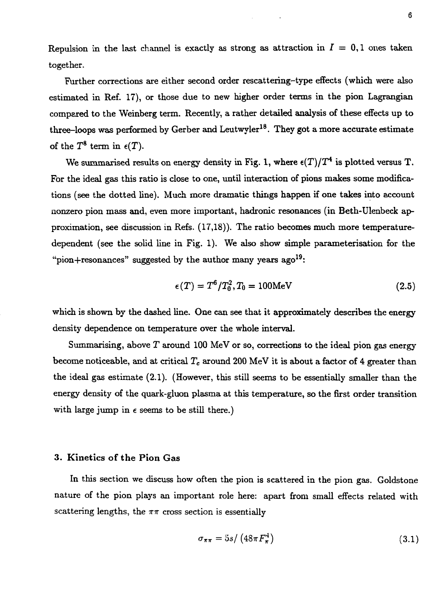Repulsion in the last channel is exactly as strong as attraction in  $I = 0, 1$  ones taken together.

Further corrections are either second order rescattering-type effects (which were also estimated in Ref. 17), or those due to new higher order terms in the pion Lagrangian compaxed to the Weinberg term. Recently, a rather detailed analysis of these effects up to three–loops was performed by Gerber and Leutwyler $^{18}$ . They got a more accurate estimate of the  $T^8$  term in  $\epsilon(T)$ .

We summarised results on energy density in Fig. 1, where  $\epsilon(T)/T^4$  is plotted versus T. For the ideal gas this ratio is close to one, until interaction of pions makes some modifications (see the dotted line). Much more dramatic things happen if one takes into account nonzero pion mass and, even more important, hadronic resonances (in Beth-Ulenbeck approximation, see discussion in Refs. (17,18)). The ratio becomes much more temperaturedependent (see the solid line in Fig. 1). We also show simple parameterisation for the "pion+resonances" suggested by the author many years  $a\text{g}o^{19}$ :

$$
\epsilon(T) = T^6 / T_0^2, T_0 = 100 \text{MeV} \tag{2.5}
$$

which is shown by the dashed line. One can see that it approximately describes the energy density dependence on temperature over the whole interval.

Summarising, above *T* around 100 MeV or so, corrections to the ideal pion gas energy become noticeable, and at critical *Tc* around 200 MeV it is about a factor of 4 greater than the ideal gas estimate (2.1). (However, this still seems to be essentially smaller than the energy density of the quark-gluon plasma at this temperature, so the first order transition with large jump in  $\epsilon$  seems to be still there.)

#### 3. Kinetics of the Pion Gas

In this section we discuss how often the pion is scattered in the pion gas. Goldstone nature of the pion plays an important role here: apart from small effects related with scattering lengths, the  $\pi\pi$  cross section is essentially

$$
\sigma_{\pi\pi} = 5s / \left(48\pi F_{\pi}^4\right) \tag{3.1}
$$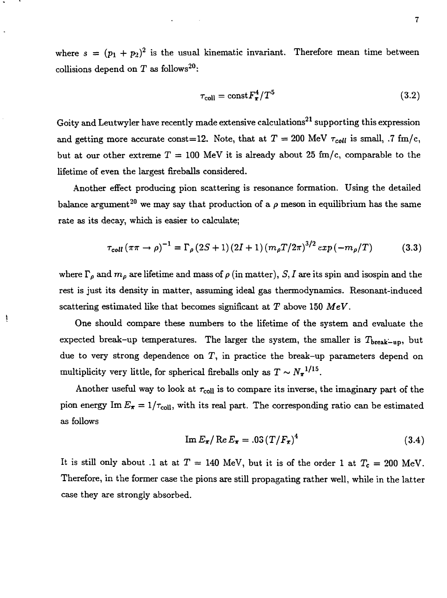where  $s = (p_1 + p_2)^2$  is the usual kinematic invariant. Therefore mean time between collisions depend on T as follows<sup>20</sup>:

$$
\tau_{\text{coll}} = \text{const} F_{\pi}^4 / T^5 \tag{3.2}
$$

Goity and Leutwyler have recently made extensive calculations $^{21}$  supporting this expression and getting more accurate const=12. Note, that at  $T = 200$  MeV  $\tau_{coll}$  is small, .7 fm/c, but at our other extreme  $T = 100$  MeV it is already about 25 fm/c, comparable to the lifetime of even the largest fireballs considered.

Another effect producing pion scattering is resonance formation. Using the detailed balance argument<sup>20</sup> we may say that production of a  $\rho$  meson in equilibrium has the same rate as its decay, which is easier to calculate;

$$
\tau_{coll}(\pi\pi \to \rho)^{-1} = \Gamma_{\rho} (2S+1) (2I+1) (m_{\rho} T/2\pi)^{3/2} exp(-m_{\rho}/T)
$$
(3.3)

where  $\Gamma_{\rho}$  and  $m_{\rho}$  are lifetime and mass of  $\rho$  (in matter), S, I are its spin and isospin and the rest is just its density in matter, assuming ideal gas thermodynamics. Resonant-induced scattering estimated like that becomes significant at *T* above 150 *MeV.*

ţ

One should compare these numbers to the lifetime of the system and evaluate the expected break-up temperatures. The larger the system, the smaller is  $T_{\text{break-up}}$ , but due to very strong dependence on  $T$ , in practice the break-up parameters depend on multiplicity very little, for spherical fireballs only as  $T \sim N_{\pi}^{-1/15}$ .

Another useful way to look at  $\tau_{\text{coll}}$  is to compare its inverse, the imaginary part of the pion energy Im  $E_{\pi} = 1/\tau_{\text{coll}}$ , with its real part. The corresponding ratio can be estimated as follows

$$
\operatorname{Im} E_{\pi} / \operatorname{Re} E_{\pi} = .03 \left( T / F_{\pi} \right)^{4} \tag{3.4}
$$

It is still only about .1 at at  $T = 140$  MeV, but it is of the order 1 at  $T_c = 200$  MeV. Therefore, in the former case the pions are still propagating rather well, while in the latter case they are strongly absorbed.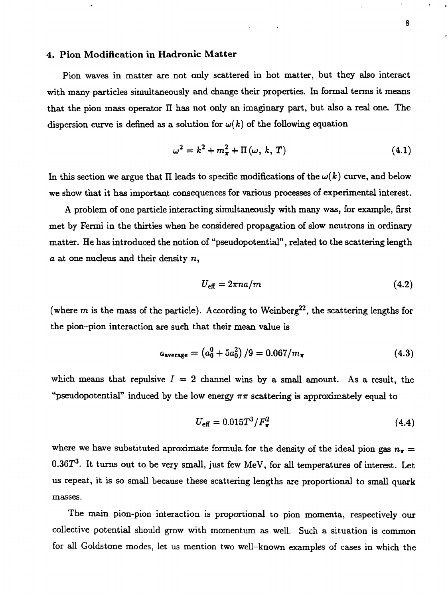## **4. Pion Modification in Hadronic Matter**

Pion waves in matter are not only scattered in hot matter, but they also interact with many particles simultaneously and change their properties. In formal terms it means that the pion mass operator II has not only an imaginary part, but also a real one. The dispersion curve is defined as a solution for  $\omega(k)$  of the following equation

$$
\omega^2 = k^2 + m_\pi^2 + \Pi(\omega, k, T) \tag{4.1}
$$

In this section we argue that II leads to specific modifications of the  $\omega(k)$  curve, and below we show that it has important consequences for various processes of experimental interest.

A problem of one particle interacting simultaneously with many was, for example, first met by Fermi in the thirties when he considered propagation of slow neutrons in ordinary matter. He has introduced the notion of "pseudopotential", related to the scattering length  $a$  at one nucleus and their density  $n$ ,

$$
U_{\text{eff}} = 2\pi n a/m \tag{4.2}
$$

(where  $m$  is the mass of the particle). According to Weinberg<sup>22</sup>, the scattering lengths for the pion-pion interaction are such that their mean value is

$$
a_{\text{average}} = \left(a_0^0 + 5a_0^2\right)/9 = 0.067/m_{\pi} \tag{4.3}
$$

which means that repulsive  $I = 2$  channel wins by a small amount. As a result, the "pseudopotential" induced by the low energy  $\pi\pi$  scattering is approximately equal to

$$
U_{\text{eff}} = 0.015T^3/F_{\pi}^2 \tag{4.4}
$$

where we have substituted aproximate formula for the density of the ideal pion gas  $n_x =$  $0.36T^3$ . It turns out to be very small, just few MeV, for all temperatures of interest. Let us repeat, it is so small because these scattering lengths are proportional to small quark masses.

The main pion-pion interaction is proportional to pion momenta, respectively our collective potential should grow with momentum as well. Such a situation is common for all Goldstone modes, let us mention two well-known examples of cases in which the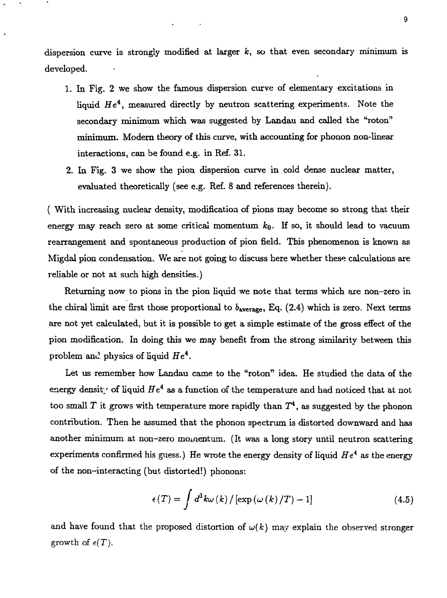dispersion curve is strongly modified at larger  $k$ , so that even secondary minimum is developed.

- 1. In Fig. 2 we show the famous dispersion curve of elementary excitations in liquid  $He^4$ , measured directly by neutron scattering experiments. Note the secondary minimum which was suggested by Landau and called the "roton" minimum. Modern theory of this curve, with accounting for phonon non-linear interactions, can be found e.g. in Ref. 31.
- 2. In Fig. 3 we show the pion dispersion curve in cold dense nuclear matter, evaluated theoretically (see e.g. Ref. 8 and references therein).

( With increasing nuclear density, modification of pions may become so strong that their energy may reach zero at some critical momentum  $k_0$ . If so, it should lead to vacuum rearrangement and spontaneous production of pion field. This phenomenon is known as Migdal pion condensation. We are not going to discuss here whether these calculations are reliable or not at such high densities.)

Returning now to pions in the pion liquid we note that terms which are non-zero in the chiral limit are first those proportional to  $b_{\text{average}}$ , Eq. (2.4) which is zero. Next terms are not yet calculated, but it is possible to get a simple estimate of the gross effect of the pion modification. In doing this we may benefit from the strong similarity between this problem and physics of liquid  $He<sup>4</sup>$ .

Let us remember how Landau came to the "roton" idea. He studied the data of the energy density of liquid  $He^4$  as a function of the temperature and had noticed that at not too small  $T$  it grows with temperature more rapidly than  $T^4$ , as suggested by the phonon contribution. Then he assumed that the phonon spectrum is distorted downward and has another minimum at non-zero momentum. (It was a long story until neutron scattering experiments confirmed his guess.) He wrote the energy density of liquid *He<sup>4</sup>* as the energy of the non-interacting (but distorted!) phonons:

$$
\epsilon(T) = \int d^3k \omega(k) / [\exp(\omega(k)/T) - 1]
$$
\n(4.5)

and have found that the proposed distortion of  $\omega(k)$  may explain the observed stronger growth of  $\epsilon(T)$ .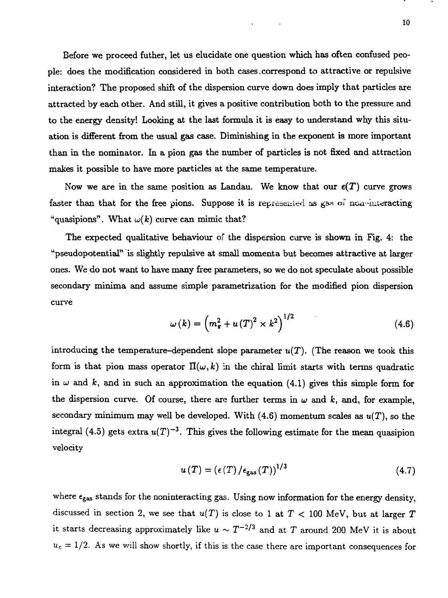Before we proceed futher, let us elucidate one question which has often confused people: does the modification considered in both cases,correspond to attractive or repulsive interaction? The proposed shift of the dispersion curve down does imply that particles are attracted by each other. And still, it gives a positive contribution both to the pressure and to the energy density! Looking at the last formula it is easy to understand why this situation is different from the usual gas case. Diminishing in the exponent is more important than in the nominator. In a pion gas the number of particles is not fixed and attraction makes it possible to have more particles at the same temperature.

Now we are in the same position as Landau. We know that our  $\epsilon(T)$  curve grows faster than that for the free pions. Suppose it is represented as gas of non-interacting "quasipions". What  $\omega(k)$  curve can mimic that?

The expected qualitative, behaviour of the dispersion curve is shown in Fig. 4: the "pseudopotential" is slightly repulsive at small momenta but becomes attractive at larger ones. We do not want to have many free parameters, so we do not speculate about possible secondary minima and assume simple parametrization for the modified pion dispersion curve

$$
\omega(k) = \left(m_{\pi}^2 + u(T)^2 \times k^2\right)^{1/2} \tag{4.6}
$$

introducing the temperature-dependent slope parameter  $u(T)$ . (The reason we took this form is that pion mass operator  $\Pi(\omega,k)$  in the chiral limit starts with terms quadratic in  $\omega$  and k, and in such an approximation the equation (4.1) gives this simple form for the dispersion curve. Of course, there are further terms in  $\omega$  and  $k$ , and, for example, secondary minimum may well be developed. With  $(4.6)$  momentum scales as  $u(T)$ , so the integral (4.5) gets extra  $u(T)^{-3}$ . This gives the following estimate for the mean quasipion velocity

$$
u(T) = \left(\epsilon(T)/\epsilon_{\rm gas}(T)\right)^{1/3} \tag{4.7}
$$

where  $\epsilon_{\rm gas}$  stands for the noninteracting gas. Using now information for the energy density, discussed in section 2, we see that  $u(T)$  is close to 1 at  $T < 100$  MeV, but at larger T it starts decreasing approximately like  $u \sim T^{-2/3}$  and at  $T$  around 200 MeV it is about  $u_c = 1/2$ . As we will show shortly, if this is the case there are important consequences for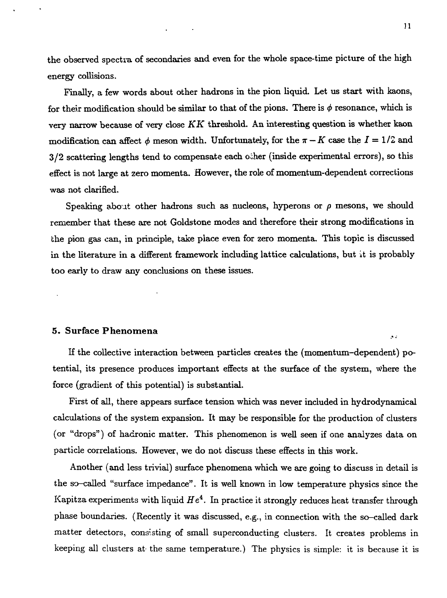the observed spectra of secondaries and even for the whole space-time picture of the high energy collisions.

 $\sim$  10  $\pm$ 

Finally, a few words about other hadrons in the pion liquid. Let us start with kaons, for their modification should be similar to that of the pions. There is  $\phi$  resonance, which is very narrow because of very close *KK* threshold. An interesting question is whether kaon modification can affect  $\phi$  meson width. Unfortunately, for the  $\pi - K$  case the  $I = 1/2$  and 3/2 scattering lengths tend to compensate each oiher (inside experimental errors), so this effect is not large at zero momenta. However, the role of momentum-dependent corrections was not clarified.

Speaking about other hadrons such as nucleons, hyperons or  $\rho$  mesons, we should remember that these are not Goldstone modes and therefore their strong modifications in the pion gas can, in principle, take place even for zero momenta. This topic is discussed in the literature in a different framework including lattice calculations, but it is probably too early to draw any conclusions on these issues.

#### 5. Surface Phenomena

If the collective interaction between particles creates the (momentum-dependent) potential, its presence produces important effects at the surface of the system, where the force (gradient of this potential) is substantial.

First of all, there appears surface tension which was never included in hydrodynamical calculations of the system expansion. It may be responsible for the production of clusters (or "drops") of hadronic matter. This phenomenon is well seen if one analyzes data on particle correlations. However, we do not discuss these effects in this work.

Another (and less trivial) surface phenomena which we are going to discuss in detail is the so-called "surface impedance". It is well known in low temperature physics since the Kapitza experiments with liquid  $He^4$ . In practice it strongly reduces heat transfer through phase boundaries. (Recently it was discussed, e.g., in connection with the so-called dark matter detectors, consisting of small superconducting clusters. It creates problems in keeping all clusters at- the same temperature.) The physics is simple: it is because it is

 $\sim$   $\sim$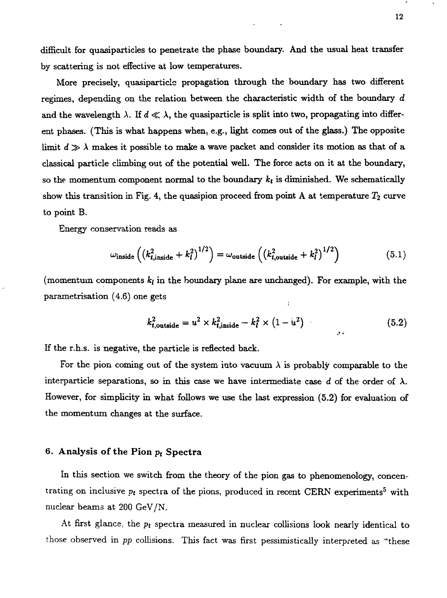difficult for quasiparticles to penetrate the phase boundary. And the usual heat transfer by scattering is not effective at low temperatures.

More precisely, quasiparticle propagation through the boundary has two different regimes, depending on the relation between the characteristic width of the boundary *d* and the wavelength  $\lambda$ . If  $d \ll \lambda$ , the quasiparticle is split into two, propagating into different phases. (This is what happens when, e.g., light comes out of the glass.) The opposite limit  $d \gg \lambda$  makes it possible to make a wave packet and consider its motion as that of a classical particle climbing out of the potential well. The force acts on it at the boundary, so the momentum component normal to the boundary  $k_t$  is diminished. We schematically show this transition in Fig. 4, the quasipion proceed from point A at temperature  $T_2$  curve to point B.

Energy conservation reads as

$$
\omega_{\text{inside}} \left( \left( k_{t,\text{inside}}^2 + k_l^2 \right)^{1/2} \right) = \omega_{\text{outside}} \left( \left( k_{t,\text{outside}}^2 + k_l^2 \right)^{1/2} \right) \tag{5.1}
$$

(momentum components  $k_l$  in the boundary plane are unchanged). For example, with the parametrisation (4.6) one gets ÷

$$
k_{t,\text{outside}}^2 = u^2 \times k_{t,\text{inside}}^2 - k_l^2 \times (1 - u^2) \tag{5.2}
$$

If the r.h.s. is negative, the particle is reflected back.

For the pion coming out of the system into vacuum  $\lambda$  is probably comparable to the interparticle separations, so in this case we have intermediate case d of the order of  $\lambda$ . However, for simplicity in what follows we use the last expression (5.2) for evaluation of the momentum changes at the surface.

# 6. **Analysis of** the **Pion** *p<sup>t</sup>*  **Spectra**

In this section we switch from the theory of the pion gas to phenomenology, concentrating on inclusive  $p_t$  spectra of the pions, produced in recent CERN experiments<sup>5</sup> with nuclear beams at 200 GeV/N.

At first glance, the *pt* spectra measured in nuclear collisions look nearly identical to those observed in *pp* collisions. This fact was first pessimistically interpreted as "these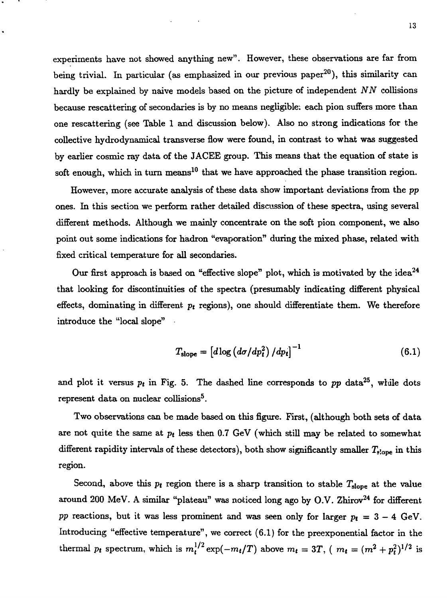experiments have not showed anything new". However, these observations are far from being trivial. In particular (as emphasized in our previous paper<sup>20</sup>), this similarity can hardly be explained by naive models based on the picture of independent *NN* collisions because rescattering of secondaries is by no means negligible: each pion suffers more than one rescattering (see Table 1 and discussion below). Also no strong indications for the collective hydrodynamical transverse flow were found, in contrast to what was suggested by earlier cosmic ray data of the JACEE group. This means that the equation of state is soft enough, which in turn means<sup>10</sup> that we have approached the phase transition region.

However, more accurate analysis of these data show important deviations from the *pp* ones. In this section we perform rather detailed discussion of these spectra, using several different methods. Although we mainly concentrate on the soft pion component, we also point out some indications for hadron "evaporation" during the mixed phase, related with fixed critical temperature for all secondaries.

Our first approach is based on "effective slope" plot, which is motivated by the idea<sup>24</sup> that looking for discontinuities of the spectra (presumably indicating different physical effects, dominating in different *pt* regions), one should differentiate them. We therefore introduce the "local slope"

$$
T_{\text{slope}} = \left[ d \log \left( d\sigma / dp_t^2 \right) / dp_t \right]^{-1} \tag{6.1}
$$

and plot it versus  $p_t$  in Fig. 5. The dashed line corresponds to  $pp$  data<sup>25</sup>, while dots represent data on nuclear collisions<sup>5</sup>.

Two observations can be made based on this figure. First, (although both sets of data are not quite the same at *pt* less then 0.7 GeV (which still may be related to somewhat different rapidity intervals of these detectors), both show significantly smaller  $T_{\text{slope}}$  in this region.

Second, above this  $p_t$  region there is a sharp transition to stable  $T_{slope}$  at the value around 200 MeV. A similar "plateau" was noticed long ago by O.V. Zhirov<sup>24</sup> for different *pp* reactions, but it was less prominent and was seen only for larger  $p_t = 3 - 4$  GeV. Introducing "effective temperature", we correct (6.1) for the preexponential factor in the thermal  $p_t$  spectrum, which is  $m_t^{1/2} \exp(-m_t/T)$  above  $m_t = 3T$ , ( $m_t = (m^2 + p_t^2)^{1/2}$  is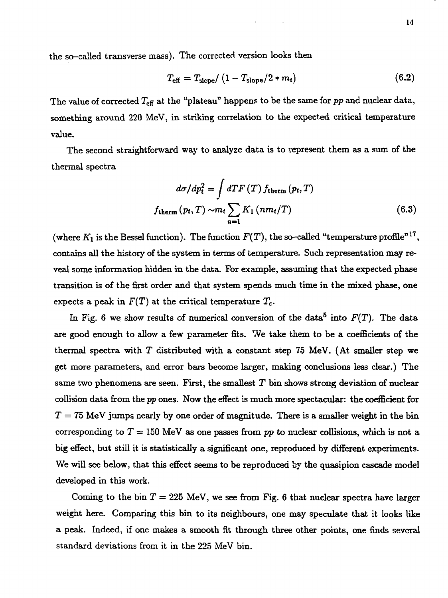the so-called transverse mass). The corrected version looks then

$$
T_{\text{eff}} = T_{\text{slope}} / (1 - T_{\text{slope}} / 2 * m_t)
$$
 (6.2)

The value of corrected  $T_{\text{eff}}$  at the "plateau" happens to be the same for  $pp$  and nuclear data, something around 220 MeV, in striking correlation to the expected critical temperature value.

The second straightforward way to analyze data is to represent them as a sum of the thermal spectra

$$
d\sigma/dp_t^2 = \int dT F(T) f_{\text{therm}}(p_t, T)
$$
  

$$
f_{\text{therm}}(p_t, T) \sim m_t \sum_{n=1} K_1(n m_t/T)
$$
 (6.3)

(where  $K_1$  is the Bessel function). The function  $F(T),$  the so–called "temperature profile" $^{17},\,$ contains all the history of the system in terms of temperature. Such representation may reveal some information hidden in the data. For example, assuming that the expected phase transition is of the first order and that system spends much time in the mixed phase, one expects a peak in  $F(T)$  at the critical temperature  $T_c$ .

In Fig. 6 we show results of numerical conversion of the data<sup>5</sup> into  $F(T)$ . The data are good enough to allow a few parameter fits. We take them to be a coefficients of the thermal spectra with  $T$  distributed with a constant step 75 MeV. (At smaller step we get more parameters, and error bars become larger, making conclusions less clear.) The same two phenomena are seen. First, the smallest  $T$  bin shows strong deviation of nuclear collision data from the *pp* ones. Now the effect is much more spectacular: the coefficient for  $T = 75$  MeV jumps nearly by one order of magnitude. There is a smaller weight in the bin corresponding to  $T = 150$  MeV as one passes from pp to nuclear collisions, which is not a big effect, but still it is statistically a significant one, reproduced by different experiments. We will see below, that this effect seems to be reproduced by the quasipion cascade model developed in this work.

Coming to the bin  $T = 225$  MeV, we see from Fig. 6 that nuclear spectra have larger weight here. Comparing this bin to its neighbours, one may speculate that it looks like a peak. Indeed, if one makes a smooth fit through three other points, one finds several standard deviations from it in the 225 MeV bin.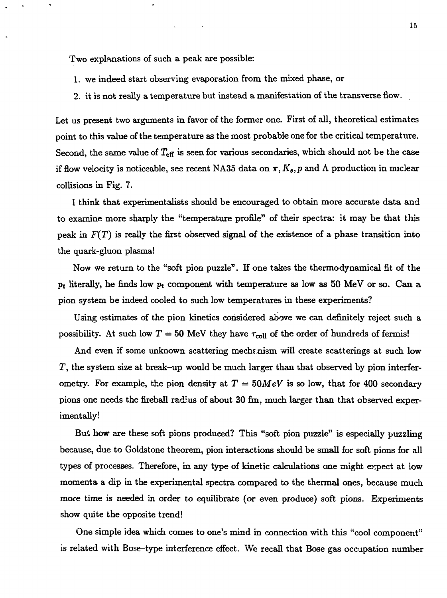Two explanations of such a peak are possible:

- 1. we indeed start observing evaporation from the mixed phase, or
- 2. it is not really a temperature but instead a manifestation of the transverse flow.

Let us present two arguments in favor of the former one. First of all, theoretical estimates point to this value of the temperature as the most probable one for the critical temperature. Second, the same value of  $T_{\text{eff}}$  is seen for various secondaries, which should not be the case if flow velocity is noticeable, see recent NA35 data on  $\pi$ ,  $K_s$ , p and  $\Lambda$  production in nuclear collisions in Fig. 7.

I think that experimentalists should be encouraged to obtain more accurate data and to examine more sharply the "temperature profile" of their spectra: it may be that this peak in *F(T)* is really the first observed signal of the existence of a phase transition into the quark-gluon plasma!

Now we return to the "soft pion puzzle". If one takes the thermodynamical fit of the *Pt* literally, he finds low *pt* component with temperature as low as 50 MeV or so. Can a pion system be indeed cooled to such low temperatures in these experiments?

Using estimates of the pion kinetics considered above we can definitely reject such a possibility. At such low  $T = 50$  MeV they have  $\tau_{\text{coll}}$  of the order of hundreds of fermis!

And even if some unknown scattering mech< nism will create scatterings at such low  $T$ , the system size at break-up would be much larger than that observed by pion interferometry. For example, the pion density at  $T = 50 MeV$  is so low, that for 400 secondary pions one needs the fireball radius of about 30 fm, much larger than that observed experimentally!

But how are these soft pions produced? This "soft pion puzzle" is especially puzzling because, due to Goldstone theorem, pion interactions should be small for soft pions for all types of processes. Therefore, in any type of kinetic calculations one might expect at low momenta a dip in the experimental spectra compared to the thermal ones, because much more time is needed in order to equilibrate (or even produce) soft pions. Experiments show quite the opposite trend!

One simple idea which comes to one's mind in connection with this "cool component" is related with Bose-type interference effect. We recall that Bose gas occupation number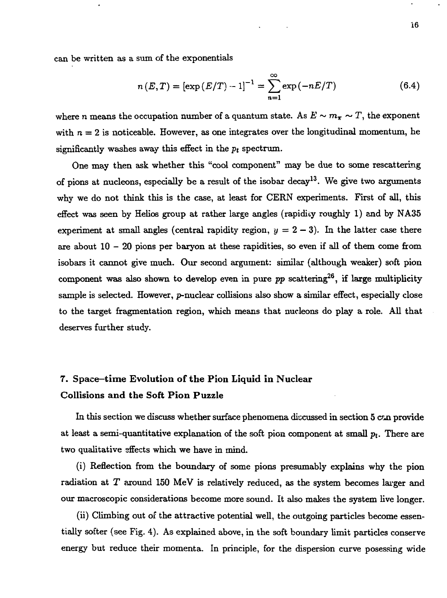can be written as a sum of the exponentials

$$
n(E,T) = \left[\exp\left(\frac{E}{T}\right) - 1\right]^{-1} = \sum_{n=1}^{\infty} \exp\left(-nE/T\right) \tag{6.4}
$$

where n means the occupation number of a quantum state. As  $E \sim m_{\pi} \sim T$ , the exponent with  $n = 2$  is noticeable. However, as one integrates over the longitudinal momentum, he significantly washes away this effect in the *pt* spectrum.

One may then ask whether this "cool component" may be due to some rescattering of pions at nucleons, especially be a result of the isobar decay<sup>13</sup>. We give two arguments why we do not think this is the case, at least for CERN experiments. First of all, this effect was seen by Helios group at rather large angles (rapidity roughly 1) and by NA35 experiment at small angles (central rapidity region,  $y = 2 - 3$ ). In the latter case there are about  $10 - 20$  pions per baryon at these rapidities, so even if all of them come from isobars it cannot give much. Our second argument: similar (although weaker) soft pion component was also shown to develop even in pure  $pp$  scattering<sup>26</sup>, if large multiplicity sample is selected. However, p-nuclear collisions also show a similar effect, especially close to the target fragmentation region, which means that nucleons do play a role. All that deserves further study.

# 7. Space—**time Evolution of the Pion Liquid in Nuclear Collisions and the Soft Pion Puzzle**

In this section we discuss whether surface phenomena discussed in section  $5 \text{ can provide}$ at least a semi-quantitative explanation of the soft pion component at small  $p_t$ . There are two qualitative sffects which we have in mind.

(i) Reflection from the boundary of some pions presumably explains why the pion radiation at *T* around 150 MeV is relatively reduced, as the system becomes larger and our macroscopic considerations become more sound. It also makes the system live longer.

(ii) Climbing out of the attractive potential well, the outgoing particles become essentially softer (see Fig. 4). As explained above, in the soft boundary limit particles conserve energy but reduce their momenta. In principle, for the dispersion curve posessing wide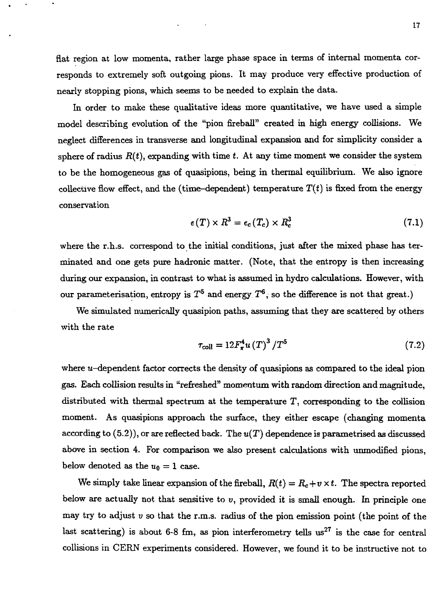In order to make these qualitative ideas more quantitative, we have used a simple model describing evolution of the "pion fireball" created in high energy collisions. We neglect differences in transverse and longitudinal expansion and for simplicity consider a sphere of radius  $R(t)$ , expanding with time  $t$ . At any time moment we consider the system to be the homogeneous gas of quasipions, being in thermal equilibrium. We also ignore collective flow effect, and the (time-dependent) temperature  $T(t)$  is fixed from the energy conservation

$$
\epsilon(T) \times R^3 = \epsilon_c(T_c) \times R_c^3 \tag{7.1}
$$

where the r.h.s. correspond to the initial conditions, just after the mixed phase has terminated and one gets pure hadronic matter. (Note, that the entropy is then increasing during our expansion, in contrast to what is assumed in hydro calculations. However, with our parameterisation, entropy is  $T^5$  and energy  $T^6$ , so the difference is not that great.)

We simulated numerically quasipion paths, assuming that they are scattered by others with the rate

$$
\tau_{\text{coll}} = 12 F_{\pi}^4 u \left( T \right)^3 / T^5 \tag{7.2}
$$

where  $u$ -dependent factor corrects the density of quasipions as compared to the ideal pion gas. Each collision results in "refreshed" momentum with random direction and magnitude, distributed with thermal spectrum at the temperature T, corresponding to the collision moment. As quasipions approach the surface, they either escape (changing momenta according to (5.2)), or are reflected back. The *u(T)* dependence is parametrised as discussed above in section 4. For comparison we also present calculations with unmodified pions, below denoted as the  $u_0 = 1$  case.

We simply take linear expansion of the fireball,  $R(t) = R_c + v \times t$ . The spectra reported below are actually not that sensitive to  $v$ , provided it is small enough. In principle one may try to adjust *v* so that the r.m.s. radius of the pion emission point (the point of the last scattering) is about 6-8 fm, as pion interferometry tells  $us^{27}$  is the case for central collisions in CERN experiments considered. However, we found it to be instructive not to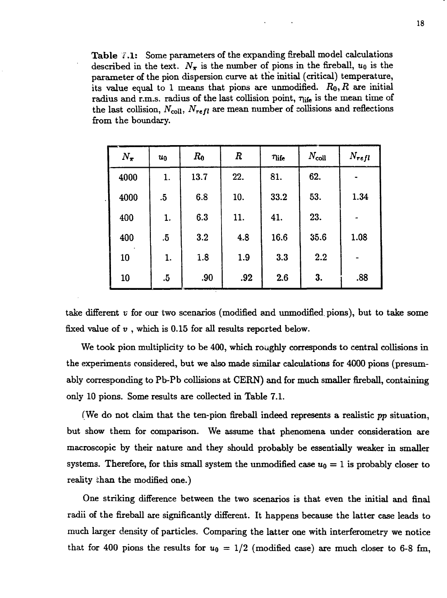Table 7.1: Some parameters of the expanding fireball model calculations described in the text.  $N_{\pi}$  is the number of pions in the fireball,  $u_0$  is the parameter of the pion dispersion curve at the initial (critical) temperature, its value equal to 1 means that pions are unmodified.  $R_0, R$  are initial radius and r.m.s. radius of the last collision point,  $\tau_{\rm life}$  is the mean time of the last collision,  $N_{\text{coll}}$ ,  $N_{refl}$  are mean number of collisions and reflections from the boundary.

| $N_{\pi}$ | $u_0$  | $R_0$ | $\boldsymbol{R}$ | <b>This</b> | $N_{\rm coll}$ | $N_{refl}$ |
|-----------|--------|-------|------------------|-------------|----------------|------------|
| 4000      | 1.     | 13.7  | 22.              | 81.         | 62.            |            |
| 4000      | $.5\,$ | 6.8   | 10.              | 33.2        | 53.            | 1.34       |
| 400       | 1.     | 6.3   | 11.              | 41.         | 23.            |            |
| 400       | $.5\,$ | 3.2   | 4.8              | 16.6        | 35.6           | 1.08       |
| 10        | 1.     | 1.8   | 1.9              | 3.3         | 2.2            |            |
| 10        | $.5\,$ | .90   | .92              | 2.6         | 3.             | .88        |

take different  $v$  for our two scenarios (modified and unmodified pions), but to take some fixed value of *v* , which is 0.15 for all results reported below.

We took pion multiplicity to be 400, which roughly corresponds to central collisions in the experiments considered, but we also made similar calculations for 4000 pions (presumably corresponding to Pb-Pb collisions at CERN) and for much smaller fireball, containing only 10 pions. Some results are collected in Table 7.1.

(We do not claim that the ten-pion fireball indeed represents a realistic *pp* situation, but show them for comparison. We assume that phenomena under consideration are macroscopic by their nature and they should probably be essentially weaker in smaller systems. Therefore, for this small system the unmodified case  $u_0 = 1$  is probably closer to reality ihan the modified one.)

One striking difference between the two scenarios is that even the initial and final radii of the fireball are significantly different. It happens because the latter case leads to much larger density of particles. Comparing the latter one with interferometry we notice that for 400 pions the results for  $u_0 = 1/2$  (modified case) are much closer to 6-8 fm,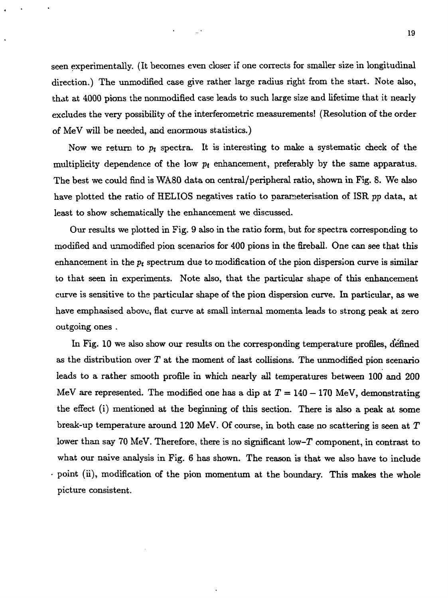seen experimentally. (It becomes even closer if one corrects for smaller size in longitudinal direction.) The unmodified case give rather large radius right from the start. Note also, that at 4000 pions the nonmodified case leads to such large size and lifetime that it nearly excludes the very possibility of the interferometric measurements! (Resolution of the order of MeV will be needed, and enormous statistics.)

Now we return to  $p_t$  spectra. It is interesting to make a systematic check of the multiplicity dependence of the low  $p_t$  enhancement, preferably by the same apparatus. The best we could find is WA80 data on central/peripheral ratio, shown in Fig. 8. We also have plotted the ratio of HELIOS negatives ratio to pararaeterisation of ISR *pp* data, at least to show schematically the enhancement we discussed.

Our results we plotted in Fig. 9 also in the ratio form, but for spectra corresponding to modified and unmodified pion scenarios for 400 pions in the fireball. One can see that this enhancement in the  $p_t$  spectrum due to modification of the pion dispersion curve is similar to that seen in experiments. Note also, that the particular shape of this enhancement curve is sensitive to the particular shape of the pion dispersion curve. In particular, as we have emphasised above, flat curve at small internal momenta leads to strong peak at zero outgoing ones .

In Fig. 10 we also show our results on the corresponding temperature profiles, defined as the distribution over *T* at the moment of last collisions. The unmodified pion scenario leads to a rather smooth profile in which nearly all temperatures between 100 and 200 MeV are represented. The modified one has a dip at  $T = 140 - 170$  MeV, demonstrating the effect (i) mentioned at the beginning of this section. There is also a peak at some break-up temperature around 120 MeV. Of course, in both case no scattering is seen at  $T$ lower than say 70 MeV. Therefore, there is no significant low-T component, in contrast to what our naive analysis in Fig. 6 has shown. The reason is that we also have to include  $\cdot$  point (ii), modification of the pion momentum at the boundary. This makes the whole picture consistent.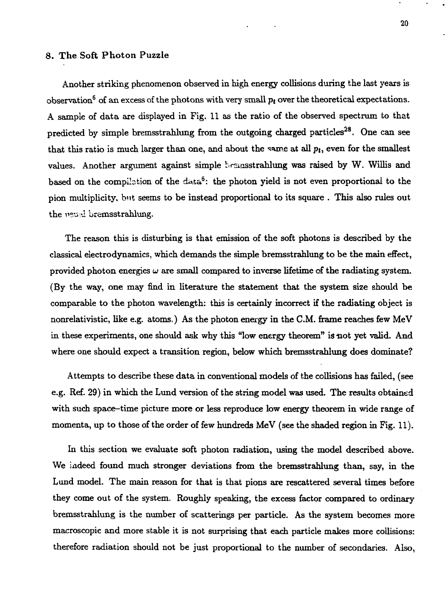#### 8. The Soft Photon Puzzle

Another striking phenomenon observed in high energy collisions during the last years is  $\rm{observation}^6$  of an excess of the photons with very small  $p_t$  over the theoretical expectations. A sample of data are displayed in Fig. 11 as the ratio of the observed spectrum to that predicted by simple bremsstrahlung from the outgoing charged particles<sup>28</sup>. One can see that this ratio is much larger than one, and about the same at all  $p_t$ , even for the smallest values. Another argument against simple brsmsstrahlung was raised by W. Willis and based on the compilation of the data<sup>6</sup>: the photon yield is not even proportional to the pion multiplicity, but seems to be instead proportional to its square . This also rules out the *\y°.\i.'l* bremsstrahlung.

The reason this is disturbing is that emission of the soft photons is described by the classical electrodynamics, which demands the simple bremsstrahlung to be the main effect, provided photon energies  $\omega$  are small compared to inverse lifetime of the radiating system. (By the way, one may find in literature the statement that the system size should be comparable to the photon wavelength: this is certainly incorrect if the radiating object is nonrelativistic, like e.g. atoms.) As the photon energy in the C.M. frame reaches few MeV in these experiments, one should ask why this "low energy theorem" is not yet valid. And where one should expect a transition region, below which bremsstrahlung does dominate?

Attempts to describe these data in conventional models of the collisions has failed, (see e.g. Ref. 29) in which the Lund version of the string model was used. The results obtained with such space-time picture more or less reproduce low energy theorem in wide range of momenta, up to those of the order of few hundreds MeV (see the shaded region in Fig. 11).

In this section we evaluate soft photon radiation, using the model described above. We indeed found much stronger deviations from the bremsstrahlung than, say, in the Lund model. The main reason for that is that pions are rescattered several times before they come out of the system. Roughly speaking, the excess factor compared to ordinary bremsstrahlung is the number of scatterings per particle. As the system becomes more macroscopic and more stable it is not surprising that each particle makes more collisions: therefore radiation should not be just proportional to the number of secondaries. Also,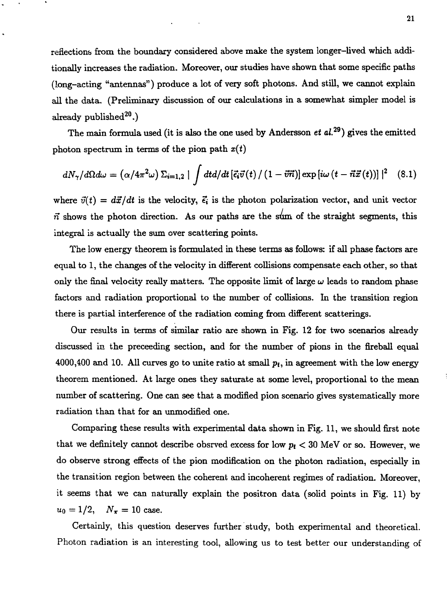reflections from the boundary considered above make the system longer-lived which additionally increases the radiation. Moreover, our studies have shown that some specific paths (long-acting "antennas") produce a lot of very soft photons. And still, we cannot explain all the data. (Preliminary discussion of our calculations in a somewhat simpler model is  $\rm already~pubits$ 

The main formula used (it is also the one used by Andersson *et al.<sup>29</sup>)* gives the emitted photon spectrum in terms of the pion path *x(t)*

$$
dN_{\gamma}/d\Omega d\omega = (\alpha/4\pi^2\omega)\,\Sigma_{i=1,2} \mid \int dt d/dt \left[\vec{\epsilon_i}\vec{v}(t) / (1-\vec{v}\vec{n})\right] \exp\left[i\omega\,(t-\vec{n}\vec{x}(t))\right]\mid^2 \quad (8.1)
$$

where  $\vec{v}(t) = d\vec{x}/dt$  is the velocity,  $\vec{\epsilon}_i$  is the photon polarization vector, and unit vector  $\vec{n}$  shows the photon direction. As our paths are the sum of the straight segments, this integral is actually the sum over scattering points.

The low energy theorem is formulated in these terms as follows: if all phase factors are equal to 1, the changes of the velocity in different collisions compensate each other, so that only the final velocity really matters. The opposite limit of large  $\omega$  leads to random phase factors and radiation proportional to the number of collisions. In the transition region there is partial interference of the radiation coming from different scatterings.

Our results in terms of similar ratio are shown in Fig. 12 for two scenarios already discussed in the proceeding section, and for the number of pions in the fireball equal 4000,400 and 10. All curves go to unite ratio at small  $p_t$ , in agreement with the low energy theorem mentioned. At large ones they saturate at some level, proportional to the mean number of scattering. One can see that a modified pion scenario gives systematically more radiation than that for an unmodified one.

Comparing these results with experimental data shown in Fig. 11, we should first note that we definitely cannot describe obsrved excess for low  $p_t < 30$  MeV or so. However, we do observe strong effects of the pion modification on the photon radiation, especially in the transition region between the coherent and incoherent regimes of radiation. Moreover, it seems that we can naturally explain the positron data (solid points in Fig. 11) by  $u_0 = 1/2$ ,  $N_{\pi} = 10$  case.

Certainly, this question deserves further study, both experimental and theoretical. Photon radiation is an interesting tool, allowing us to test better our understanding of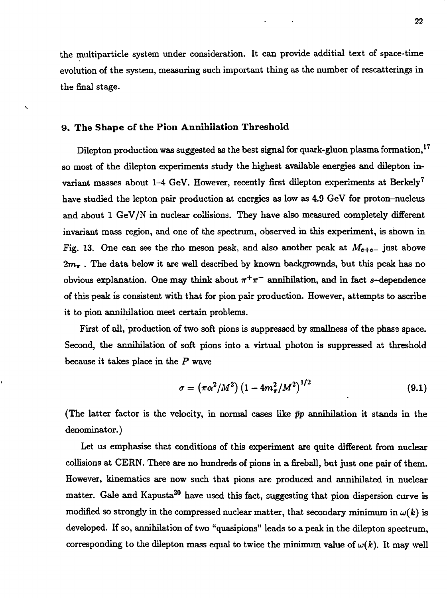the multiparticle system under consideration. It can provide additial text of space-time evolution of the system, measuring such important thing as the number of rescatterings in the final stage.

#### **9. The Shape of** the **Pion Annihilation Threshold**

 $\overline{\phantom{0}}$ 

Dilepton production was suggested as the best signal for quark-gluon plasma formation,<sup>17</sup> so most of the dilepton experiments study the highest available energies and dilepton invariant masses about  $1-4$  GeV. However, recently first dilepton experiments at Berkely<sup>7</sup> have studied the lepton pair production at energies as low as 4.9 GeV for proton-nucleus and about 1 GeV/N in nuclear collisions. They have also measured completely different invariant mass region, and one of the spectrum, observed in this experiment, is shown in Fig. 13. One can see the rho meson peak, and also another peak at  $M_{e+e-}$  just above  $2m_{\tilde{\tau}}$ . The data below it are well described by known backgrownds, but this peak has no obvious explanation. One may think about  $\pi^{+}\pi^{-}$  annihilation, and in fact s-dependence of this peak is consistent with that for pion pair production. However, attempts to ascribe it to pion annihilation meet certain problems.

First of all, production of two soft pions is suppressed by smallness of the phase space. Second, the annihilation of soft pions into a virtual photon is suppressed at threshold because it takes place in the *P* wave

$$
\sigma = \left(\pi \alpha^2 / M^2\right) \left(1 - 4m_\pi^2 / M^2\right)^{1/2} \tag{9.1}
$$

(The latter factor is the velocity, in normal cases like *pp* annihilation it stands in the denominator.)

Let us emphasise that conditions of this experiment are quite different from nuclear collisions at CERN. There are no hundreds of pions in a fireball, but just one pair of them. However, kinematics are now such that pions are produced and annihilated in nuclear matter. Gale and Kapusta<sup>20</sup> have used this fact, suggesting that pion dispersion curve is modified so strongly in the compressed nuclear matter, that secondary minimum in  $\omega(k)$  is developed. If so, annihilation of two "quasipions" leads to a peak in the dilepton spectrum, corresponding to the dilepton mass equal to twice the minimum value of  $\omega(k)$ . It may well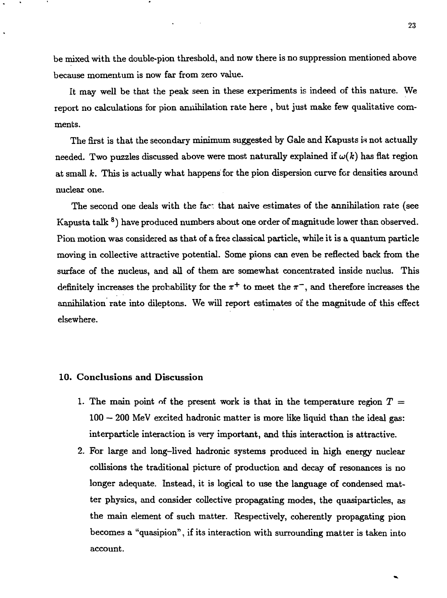be mixed with the double-pion threshold, and now there is no suppression mentioned above because momentum is now far from zero value.

It may well be that the peak seen in these experiments is indeed of this nature. We report no calculations for pion annihilation rate here , but just make few qualitative comments.

The first is that the secondary minimum suggested by Gale and Kapusts is not actually needed. Two puzzles discussed above were most naturally explained if  $\omega(k)$  has flat region at small  $k$ . This is actually what happens for the pion dispersion curve for densities around nuclear one.

The second one deals with the fact that naive estimates of the annihilation rate (see Kapusta talk  $^{\mathbf{8}}$ ) have produced numbers about one order of magnitude lower than observed. Pion motion was considered as that of a free classical particle, while it is a quantum particle moving in collective attractive potential. Some pions can even be reflected back from the surface of the nucleus, and all of them are somewhat concentrated inside nuclus. This definitely increases the probability for the  $\pi^{+}$  to meet the  $\pi^{-}$ , and therefore increases the annihilation rate into dileptons. We will report estimates of the magnitude of this effect elsewhere.

### 10. Conclusions **and** Discussion

- 1. The main point of the present work is that in the temperature region  $T =$  $100 - 200$  MeV excited hadronic matter is more like liquid than the ideal gas: interparticle interaction is very important, and this interaction is attractive.
- 2. For large and long-lived hadronic systems produced in high energy nuclear collisions the traditional picture of production and decay of resonances is no longer adequate. Instead, it is logical to use the language of condensed matter physics, and consider collective propagating modes, the quasiparticles, as the main element of such matter. Respectively, coherently propagating pion becomes a "quasipion", if its interaction with surrounding matter is taken into account.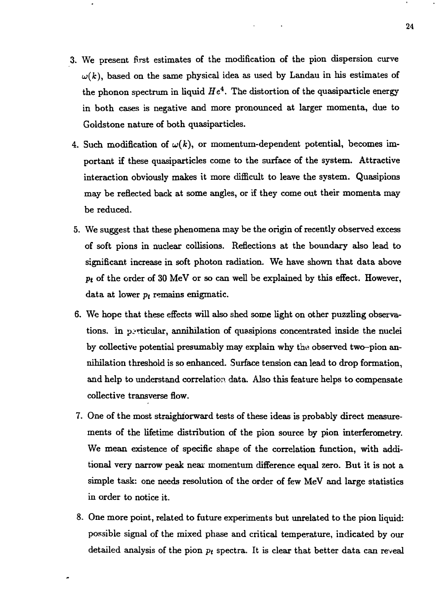- 3. We present first estimates of the modification of the pion dispersion curve  $\omega(k)$ , based on the same physical idea as used by Landau in his estimates of the phonon spectrum in liquid  $He<sup>4</sup>$ . The distortion of the quasiparticle energy in both cases is negative and more pronounced at larger momenta, due to Goldstone nature of both quasiparticles.
- 4. Such modification of  $\omega(k)$ , or momentum-dependent potential, becomes important if these quasiparticles come to the surface of the system. Attractive interaction obviously makes it more difficult to leave the system. Quasipions may be reflected back at some angles, or if they come out their momenta may be reduced.
- 5. We suggest that these phenomena may be the origin of recently observed excess of soft pions in nuclear collisions. Reflections at the boundary also lead to significant increase in soft photon radiation. We have shown that data above *pt* of the order of 30 MeV or so can well be explained by this effect. However, data at lower *pt* remains enigmatic.
- 6. We hope that these effects will also shed some light on other puzzling observations. In particular, annihilation of quasipions concentrated inside the nuclei by collective potential presumably may explain why the observed two-pion annihilation threshold is so enhanced. Surface tension can lead to drop formation, and help to understand correlation data. Also this feature helps to compensate collective transverse flow.
- 7. One of the most straighforward tests of these ideas is probably direct measurements of the lifetime distribution of the pion source by pion interferometry. We mean existence of specific shape of the correlation function, with additional very narrow peak near momentum difference equal zero. But it is not a simple task: one needs resolution of the order of few MeV and large statistics in order to notice it.
- 8. One more point, related to future experiments but unrelated to the pion liquid: possible signal of the mixed phase and critical temperature, indicated by our detailed analysis of the pion *pt* spectra. It is clear that better data can reveal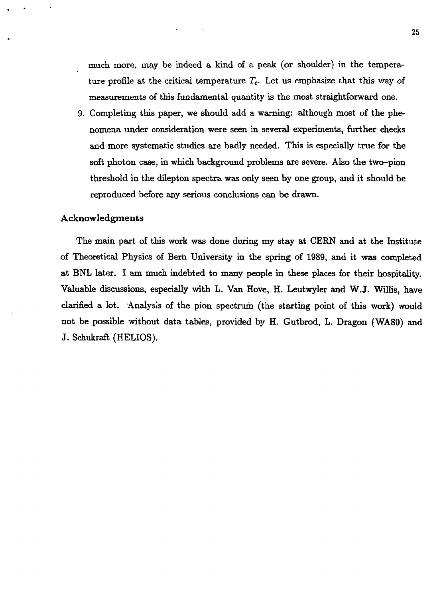much more, may be indeed a kind of a peak (or shoulder) in the temperature profile at the critical temperature *Tc.* Let us emphasize that this way of measurements of this fundamental quantity is the most straightforward one.

9. Completing this paper, we should add a warning: although most of the phenomena under consideration were seen in several experiments, further checks and more systematic studies are badly needed. This is especially true for the soft photon case, in which background problems are severe. Also the two-pion threshold in the dilepton spectra was only seen by one group, and it should be reproduced before any serious conclusions can be drawn.

#### Acknowledgments

The main part of this work was done during my stay at CERN and at the Institute of Theoretical Physics of Bern University in the spring of 1989, and it was completed at BNL later. I am much indebted to many people in these places for their hospitality. Valuable discussions, especially with L. Van Hove, H. Leutwyler and W.J. Willis, have clarified a lot. Analysis of the pion spectrum (the starting point of this work) would not be possible without data tables, provided by H. Gutbrod, L. Dragon (WA80) and J. Schukraft (HELIOS).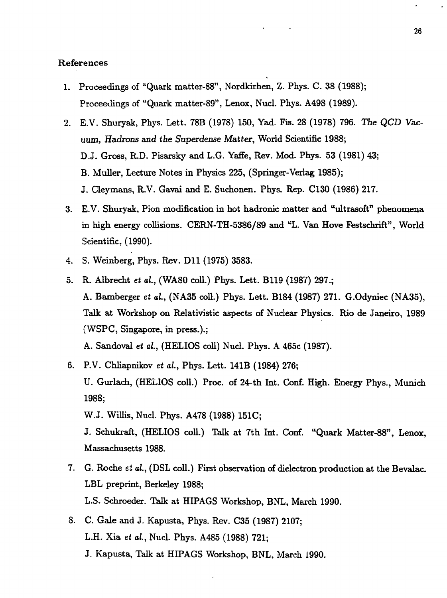### References

- 1. Proceedings of "Quark matter-88", Nordkirhen, Z. Phys. C. 38 (1988); Proceedings of "Quark matter-89", Lenox, Nucl. Phys. A498 (1989).
- 2. E.V. Shuryak, Phys. Lett. 78B (1978) 150, Yad. Fis. 28 (1978) 796. Tie *QCD Vacuum, Hadrons and the Superdense Matter,* World Scientific 1988; D.J. Gross, R.D. Pisarsky and L.G. Yaffe, Rev. Mod. Phys. 53 (1981) 43; B. Muller, Lecture Notes in Physics 225, (Springer-Verlag 1985); J. Cleymans, R.V. Gavai and E. Suchonen. Phys. Rep. C130 (1986) 217.
- 3. E.V. Shuryak, Pion modification in hot hadronic matter and "ultrasoft" phenomena in high energy collisions. CERN-TH-5386/89 and "L. Van Hove Festschrift", World Scientific, (1990).
- 4. S. Weinberg, Phys. Rev. Dll (1975) 3583.
- 5. R. Albrecht *et* a/., (WA80 coll.) Phys. Lett. B119 (1987) 297.; A. Bamberger *et al.*, (NA35 coll.) Phys. Lett. B184 (1987) 271. G.Odyniec (NA35), Talk at Workshop on Relativistic aspects of Nuclear Physics. Rio de Janeiro, 1989 (WSPC, Singapore, in press.).;

A. Sandoval *et al.,* (HELIOS coll) Nucl. Phys. A 465c (1987).

6. P.V. Chliapnikov *et al.,* Phys. Lett. 141B (1984) 276; U. Gurlach, (HELIOS coll.) Proc. of 24-th Int. Conf. High. Energy Phys., Munich 1988;

W.J. Willis, Nucl. Phys. A478 (1988) 151C;

J. Schukraft, (HELIOS coll.) Talk at 7th Int. Conf. "Quark Matter-88", Lenox, Massachusetts 1988.

- 7. G. Roche *ti al.,* (DSL coll.) First observation of dielectron production at the Bevalac. LBL preprint, Berkeley 1988; L.S. Schroeder. Talk at HIPAGS Workshop, BNL, March 1990.
- 8. C. Gale and J. Kapusta, Phys. Rev. C35 (1987) 2107; L.H. Xia *et al.,* Nucl. Phys. A485 (1988) 721;
	- J. Kapusta, Talk at HIPAGS Workshop, BNL, March 1990.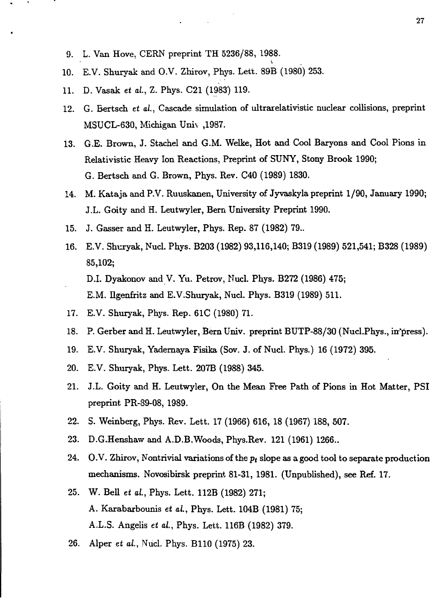- 9. L. Van Hove, CERN preprint TH 5236/88, 1988.
- 10. E.V. Shuryak and O.V. Zhirov, Phys. Lett. 89B (1980) 253.
- 11. D. Vasak et al., Z. Phys. C21 (1983) 119.
- 12. G. Bertsch *et* ai., Cascade simulation of ultrarelativistic nuclear collisions, preprint MSUCL-630, Michigan Univ ,1987.
- 13. G.E. Brown, J. Stachel and G.M. Welke, Hot and Cool Baryons and Cool Pions in Relativistic Heavy Ion Reactions, Preprint of SUNY, Stony Brook 1990; G. Bertsch and G. Brown, Phys. Rev. C40 (1989) 1830.
- 14. M. Kataja and P.V. Ruuskanen, University of Jyvaskyla preprint 1/90, January 1990; J.L. Goity and H. Leutwyler, Bern University Preprint 1990.
- 15. J. Gasser and H. Leutwyler, Phys. Rep. 87 (1982) 79..
- 16. E.V. Shuryak, Nucl. Phys. B203 (1982) 93,116,140; B319 (1989) 521,541; B328 (1989) 85,102; D.I. Dyakonov and V. Yu. Petrov, Nucl. Phys. B272 (1986) 475; E.M. Dgenfritz and E.V.Shuryak, Nucl. Phys. B319 (1989) 511.
- 17. E.V. Shuryak, Phys. Rep. 61C (1980) 71.
- 18. P. Gerber and H. Leutwyler, Bern Univ. preprint BUTP-88/30 (Nucl.Phys., in'press).
- 19. E.V. Shuryak, Yadernaya Fisika (Sov. J. of Nucl. Phys.) 16 (1972) 395.
- 20. E.V. Shuryak, Phys. Lett. 207B (1988) 345.
- 21. J.L. Goity and H. Leutwyler, On the Mean Free Path of Pions in Hot Matter, PSI preprint PR-89-08, 1989.
- 22. S. Weinberg, Phys. Rev. Lett. 17 (1966) 616, 18 (1967) 188, 507.
- 23. D.G.Henshaw and A.D.B.Woods, Phys.Rev. 121 (1961) 1266..
- 24. O.V. Zhirov, Nontrivial variations of the *pt* slope as a good tool to separate production mechanisms. Novosibirsk preprint 81-31, 1981. (Unpublished), see Ref. 17.
- 25. W. Bell *et* o/., Phys. Lett. 112B (1982) 271; A. Karabarbounis *et* a/., Phys. Lett. 104B (1981) 75; A.L.S. Angelis *et* a/., Phys. Lett. 116B (1982) 379.
- 26. Alper *et* a/., Nucl. Phys. B110 (1975) 23.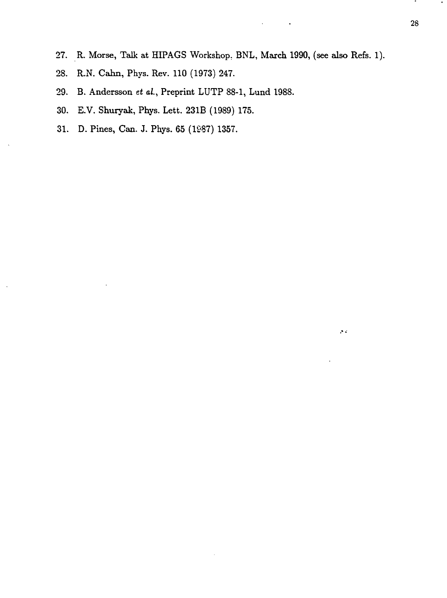- 27. R. Morse, Talk at HIPAGS Workshop, BNL, March 1990, (see also Refs. 1).
- 28. R.N. Cahn, Phys. Rev. 110 (1973) 247.
- 29. B. Andersson *tt* a/., Preprint LUTP 88-1, Lund 1988.
- 30. E.V. Shuryak, Phys. Lett. 231B (1989) 175.
- 31. D. Pines, Can. J. Phys. 65 (1987) 1357.

 $\mathcal{S}^{(i)}$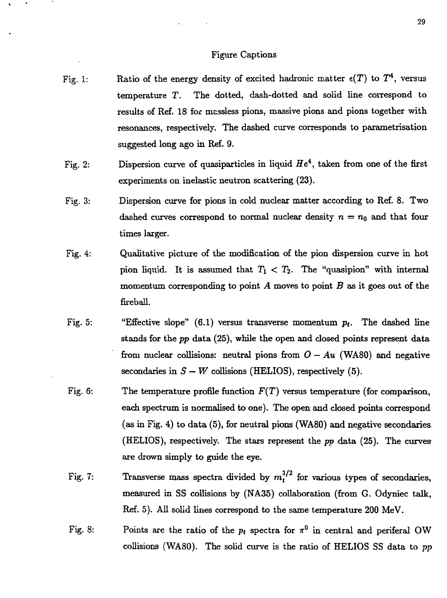#### Figure Captions

- Fig. 1: Ratio of the energy density of excited hadronic matter  $\epsilon(T)$  to  $T^4$ , versus temperature T. The dotted, dash-dotted and solid line correspond to results of Ref. 18 for massless pions, massive pions and pions together with resonances, respectively. The dashed curve corresponds to parametrisation suggested long ago in Ref. 9.
- Fig. 2: Dispersion curve of quasiparticles in liquid  $He<sup>4</sup>$ , taken from one of the first experiments on inelastic neutron scattering (23).
- Fig. 3: Dispersion curve for pions in cold nuclear matter according to Ref. 8. Two dashed curves correspond to normal nuclear density  $n = n_0$  and that four times larger.
- Fig. 4: Qualitative picture of the modification of the pion dispersion curve in hot pion liquid. It is assumed that  $T_1 < T_2$ . The "quasipion" with internal momentum corresponding to point *A* moves to point *B* as it goes out of the fireball.
- Fig. 5: "Effective slope"  $(6.1)$  versus transverse momentum  $p_t$ . The dashed line stands for the *pp* data (25), while the open and closed points represent data from nuclear collisions: neutral pions from  $O - Au$  (WA80) and negative secondaries in  $S - W$  collisions (HELIOS), respectively (5).
- Fig. 6: The temperature profile function *F(T)* versus temperature (for comparison, each spectrum is normalised to one). The open and closed points correspond (as in Fig. 4) to data (5), for neutral pions (WA80) and negative secondaries (HELIOS), respectively. The stars represent the *pp* data (25). The curves are drown simply to guide the eye.
- Fig. 7: Transverse mass spectra divided by  $m_t^{3/2}$  for various types of secondaries, measured in SS collisions by (NA35) collaboration (from G. Odyniec talk, Ref. 5). All solid lines correspond to the same temperature 200 MeV.
- Fig. 8: Points are the ratio of the  $p_t$  spectra for  $\pi^0$  in central and periferal OW collisions (WA80). The solid curve is the ratio of HELIOS SS data to *pp*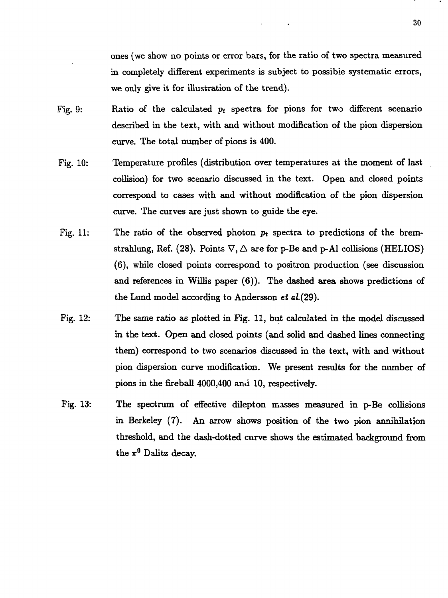ones (we show no points or error bars, for the ratio of two spectra measured in completely different experiments is subject to possible systematic errors, we only give it for illustration of the trend).

- Fig. 9: Ratio of the calculated *pt* spectra for pions for two different scenario described in the text, with and without modification of the pion dispersion curve. The total number of pions is 400.
- Fig. 10: Temperature profiles (distribution over temperatures at the moment of last collision) for two scenario discussed in the text. Open and closed points correspond to cases with and without modification of the pion dispersion curve. The curves are just shown to guide the eye.
- Fig. 11: The ratio of the observed photon *pt* spectra to predictions of the bremstrahlung, Ref. (28). Points  $\nabla$ ,  $\Delta$  are for p-Be and p-Al collisions (HELIOS) (6), while closed points correspond to positron production (see discussion and references in Willis paper (6)). The dashed area shows predictions of the Lund model according to Andersson *et* a/.(29).
- Fig. 12: The same ratio as plotted in Fig. 11, but calculated in the model discussed in the text. Open and closed points (and solid and dashed lines connecting them) correspond to two scenarios discussed in the text, with and without pion dispersion curve modification. We present results for the number of pions in the fireball 4000,400 and 10, respectively.
- Fig. 13: The spectrum of effective dilepton masses measured in p-Be collisions in Berkeley (7). An arrow shows position of the two pion annihilation threshold, and the dash-dotted curve shows the estimated background from the  $\pi^0$  Dalitz decay.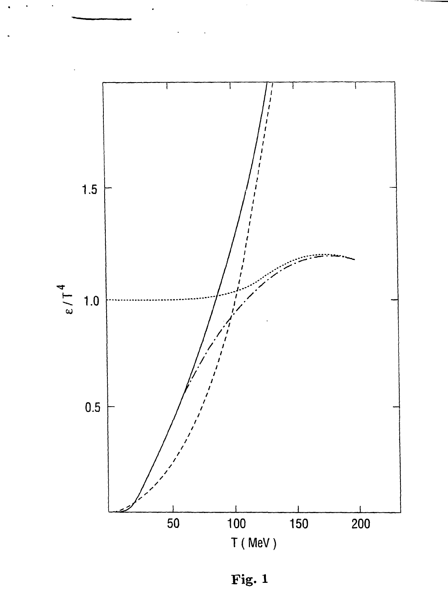

**Fig. 1**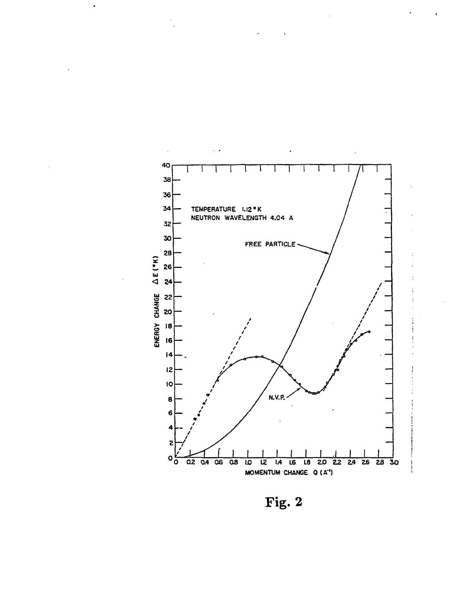

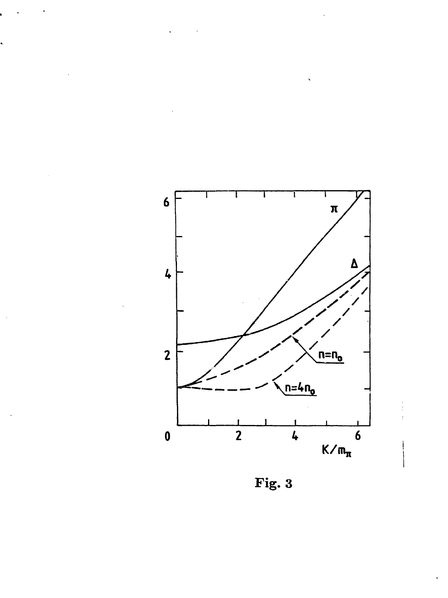

Fig. 3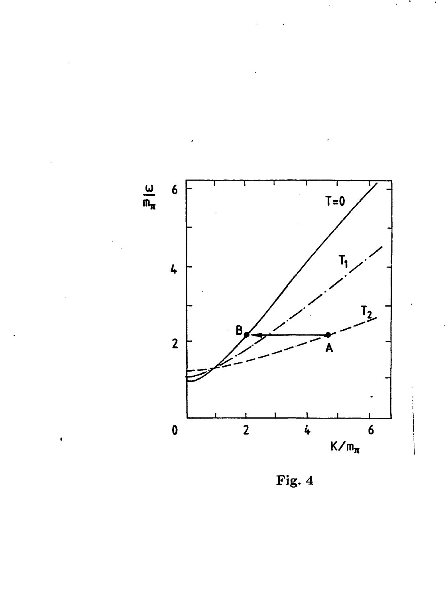

 $\bullet$ 

Fig.  $4$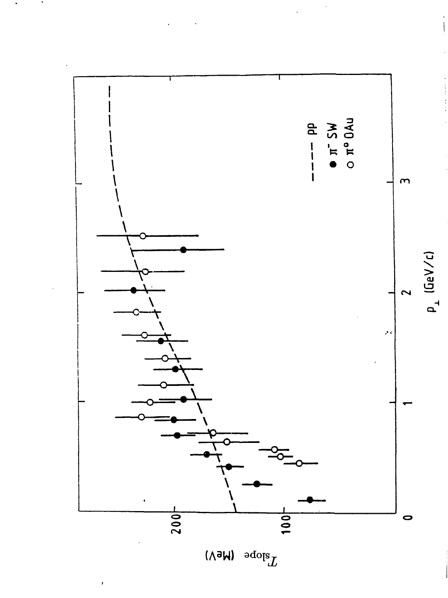

 $\begin{array}{c} 1 \\ 1 \\ 2 \\ 3 \\ 4 \end{array}$ 

 $\mathrm{T}_{\mathrm{slope}}$ **(A3W)**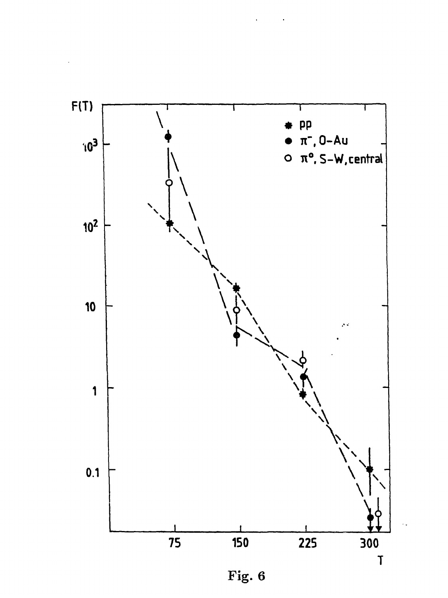

Fig. 6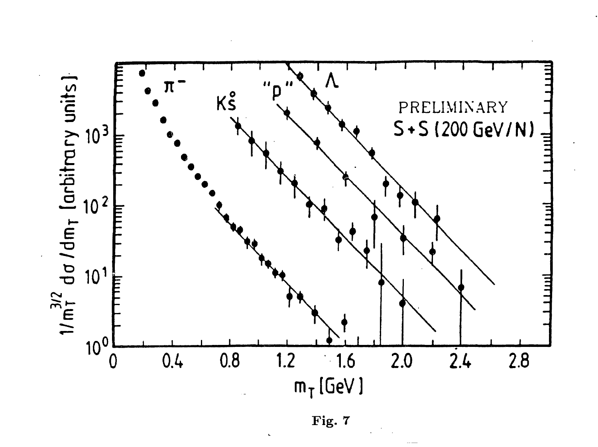

Fig. 7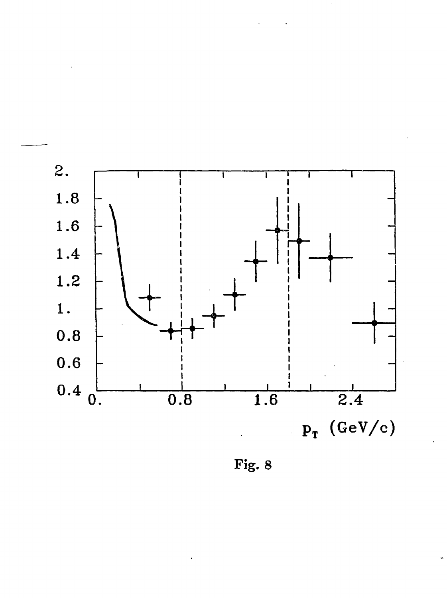

Fig. 8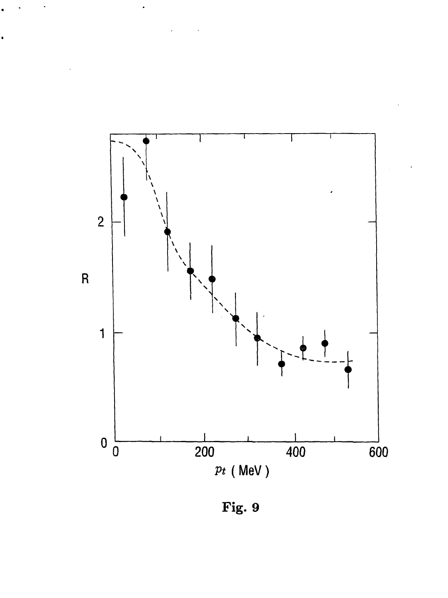

**Fig . 9**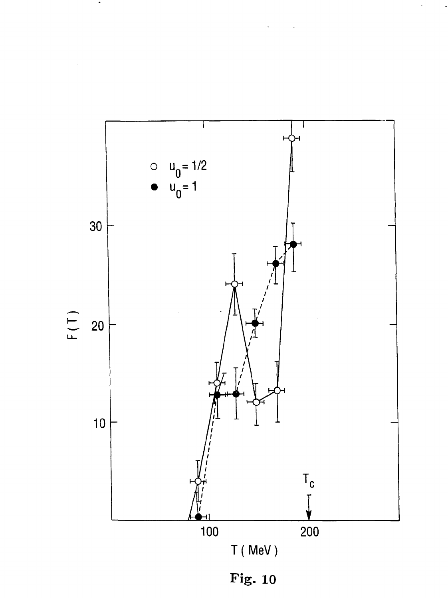

 $\bullet$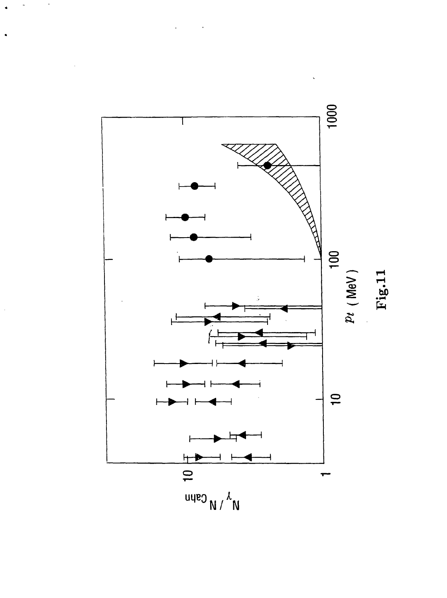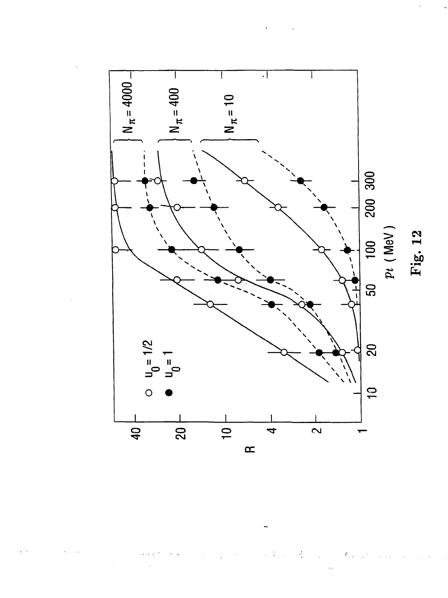

 $\ddot{\phi}$ Ą